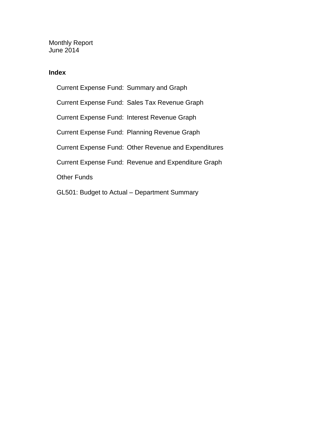Monthly Report June 2014

### **Index**

Current Expense Fund: Summary and Graph Current Expense Fund: Sales Tax Revenue Graph Current Expense Fund: Interest Revenue Graph Current Expense Fund: Planning Revenue Graph Current Expense Fund: Other Revenue and Expenditures Current Expense Fund: Revenue and Expenditure Graph Other Funds GL501: Budget to Actual – Department Summary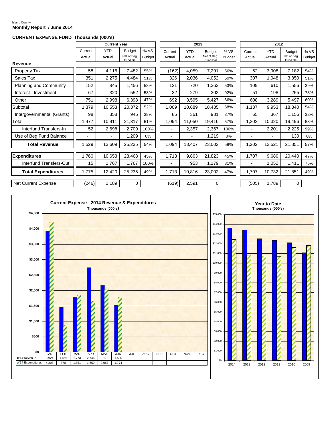#### Island County **Monthly Report / June 2014**

#### **CURRENT EXPENSE FUND Thousands (000's)**

|                               |                   | <b>Current Year</b>  |                                          |                      |                   | 2013                 |                                          |                      |                   | 2012                 |                                          |                       |
|-------------------------------|-------------------|----------------------|------------------------------------------|----------------------|-------------------|----------------------|------------------------------------------|----------------------|-------------------|----------------------|------------------------------------------|-----------------------|
|                               | Current<br>Actual | <b>YTD</b><br>Actual | <b>Budget</b><br>Net of Bea.<br>Fund Bal | %VS<br><b>Budget</b> | Current<br>Actual | <b>YTD</b><br>Actual | <b>Budget</b><br>Net of Beg.<br>Fund Bal | %VS<br><b>Budget</b> | Current<br>Actual | <b>YTD</b><br>Actual | <b>Budget</b><br>Net of Beg.<br>Fund Bal | % VS<br><b>Budget</b> |
| Revenue                       |                   |                      |                                          |                      |                   |                      |                                          |                      |                   |                      |                                          |                       |
| <b>Property Tax</b>           | 58                | 4,116                | 7,482                                    | 55%                  | (162)             | 4,059                | 7,291                                    | 56%                  | 62                | 3,908                | 7,182                                    | 54%                   |
| Sales Tax                     | 351               | 2,275                | 4,484                                    | 51%                  | 326               | 2,036                | 4,052                                    | 50%                  | 307               | 1,948                | 3,850                                    | 51%                   |
| <b>Planning and Community</b> | 152               | 845                  | 1,456                                    | 58%                  | 121               | 720                  | 1,363                                    | 53%                  | 109               | 610                  | 1,556                                    | 39%                   |
| Interest - Investment         | 67                | 320                  | 552                                      | 58%                  | 32                | 279                  | 302                                      | 92%                  | 51                | 198                  | 255                                      | 78%                   |
| Other                         | 751               | 2,998                | 6,398                                    | 47%                  | 692               | 3,595                | 5,427                                    | 66%                  | 608               | 3,289                | 5,497                                    | 60%                   |
| Subtotal                      | 1,379             | 10,553               | 20,372                                   | 52%                  | 1,009             | 10,689               | 18,435                                   | 58%                  | 1,137             | 9,953                | 18,340                                   | 54%                   |
| Intergovernmental (Grants)    | 98                | 358                  | 945                                      | 38%                  | 85                | 361                  | 981                                      | 37%                  | 65                | 367                  | 1,156                                    | 32%                   |
| Total                         | 1,477             | 10,911               | 21,317                                   | 51%                  | 1,094             | 11,050               | 19,416                                   | 57%                  | 1,202             | 10,320               | 19,496                                   | 53%                   |
| Interfund Transfers-In        | 52                | 2,698                | 2,709                                    | 100%                 |                   | 2,357                | 2,367                                    | 100%                 |                   | 2,201                | 2,225                                    | 99%                   |
| Use of Beg Fund Balance       |                   |                      | 1,209                                    | 0%                   |                   |                      | 1,219                                    | 0%                   |                   | -                    | 130                                      | 0%                    |
| <b>Total Revenue</b>          | 1,529             | 13,609               | 25,235                                   | 54%                  | 1,094             | 13,407               | 23,002                                   | 58%                  | 1,202             | 12,521               | 21,851                                   | 57%                   |
| Expenditures                  | 1,760             | 10,653               | 23,468                                   | 45%                  | 1,713             | 9,863                | 21,823                                   | 45%                  | 1,707             | 9,680                | 20,440                                   | 47%                   |
| Interfund Transfers-Out       | 15                | 1,767                | 1,767                                    | 100%                 |                   | 953                  | 1,179                                    | 81%                  |                   | 1,052                | 1,411                                    | 75%                   |
| <b>Total Expenditures</b>     | 1,775             | 12,420               | 25,235                                   | 49%                  | 1,713             | 10,816               | 23,002                                   | 47%                  | 1,707             | 10,732               | 21,851                                   | 49%                   |
| Net Current Expense           | (246)             | 1,189                | $\mathbf 0$                              |                      | (619)             | 2,591                | $\mathbf 0$                              |                      | (505)             | 1,789                | 0                                        |                       |

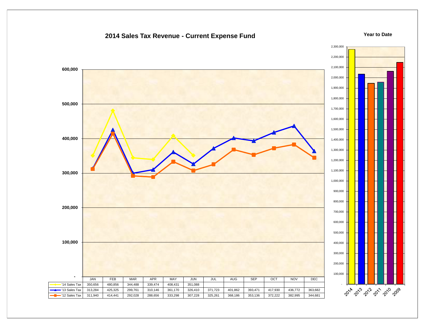### **2014 Sales Tax Revenue - Current Expense Fund**

#### **Year to Date**

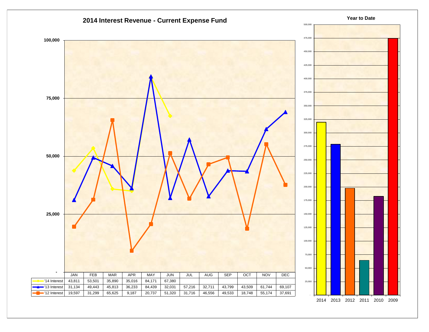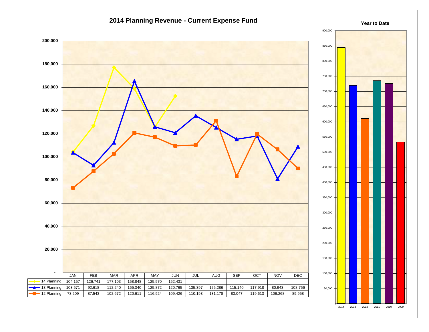



**Year to Date**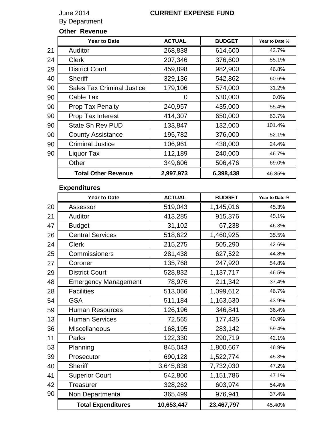By Department

## June 2014 **CURRENT EXPENSE FUND**

### **Other Revenue**

|    | <b>Year to Date</b>               | <b>ACTUAL</b> | <b>BUDGET</b> | Year to Date % |
|----|-----------------------------------|---------------|---------------|----------------|
| 21 | Auditor                           | 268,838       | 614,600       | 43.7%          |
| 24 | <b>Clerk</b>                      | 207,346       | 376,600       | 55.1%          |
| 29 | <b>District Court</b>             | 459,898       | 982,900       | 46.8%          |
| 40 | <b>Sheriff</b>                    | 329,136       | 542,862       | 60.6%          |
| 90 | <b>Sales Tax Criminal Justice</b> | 179,106       | 574,000       | 31.2%          |
| 90 | Cable Tax                         | 0             | 530,000       | $0.0\%$        |
| 90 | <b>Prop Tax Penalty</b>           | 240,957       | 435,000       | 55.4%          |
| 90 | Prop Tax Interest                 | 414,307       | 650,000       | 63.7%          |
| 90 | <b>State Sh Rev PUD</b>           | 133,847       | 132,000       | 101.4%         |
| 90 | <b>County Assistance</b>          | 195,782       | 376,000       | 52.1%          |
| 90 | <b>Criminal Justice</b>           | 106,961       | 438,000       | 24.4%          |
| 90 | Liquor Tax                        | 112,189       | 240,000       | 46.7%          |
|    | Other                             | 349,606       | 506,476       | 69.0%          |
|    | <b>Total Other Revenue</b>        | 2,997,973     | 6,398,438     | 46.85%         |

## **Expenditures**

|    | <b>Year to Date</b>         | <b>ACTUAL</b> | <b>BUDGET</b> | Year to Date % |
|----|-----------------------------|---------------|---------------|----------------|
| 20 | Assessor                    | 519,043       | 1,145,016     | 45.3%          |
| 21 | Auditor                     | 413,285       | 915,376       | 45.1%          |
| 47 | <b>Budget</b>               | 31,102        | 67,238        | 46.3%          |
| 26 | <b>Central Services</b>     | 518,622       | 1,460,925     | 35.5%          |
| 24 | <b>Clerk</b>                | 215,275       | 505,290       | 42.6%          |
| 25 | Commissioners               | 281,438       | 627,522       | 44.8%          |
| 27 | Coroner                     | 135,768       | 247,920       | 54.8%          |
| 29 | <b>District Court</b>       | 528,832       | 1,137,717     | 46.5%          |
| 48 | <b>Emergency Management</b> | 78,976        | 211,342       | 37.4%          |
| 28 | <b>Facilities</b>           | 513,066       | 1,099,612     | 46.7%          |
| 54 | <b>GSA</b>                  | 511,184       | 1,163,530     | 43.9%          |
| 59 | <b>Human Resources</b>      | 126,196       | 346,841       | 36.4%          |
| 13 | <b>Human Services</b>       | 72,565        | 177,435       | 40.9%          |
| 36 | Miscellaneous               | 168,195       | 283,142       | 59.4%          |
| 11 | Parks                       | 122,330       | 290,719       | 42.1%          |
| 53 | Planning                    | 845,043       | 1,800,667     | 46.9%          |
| 39 | Prosecutor                  | 690,128       | 1,522,774     | 45.3%          |
| 40 | <b>Sheriff</b>              | 3,645,838     | 7,732,030     | 47.2%          |
| 41 | <b>Superior Court</b>       | 542,800       | 1,151,786     | 47.1%          |
| 42 | Treasurer                   | 328,262       | 603,974       | 54.4%          |
| 90 | Non Departmental            | 365,499       | 976,941       | 37.4%          |
|    | <b>Total Expenditures</b>   | 10,653,447    | 23,467,797    | 45.40%         |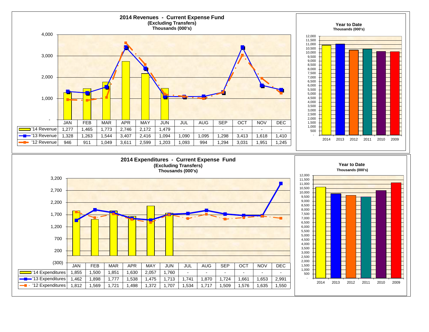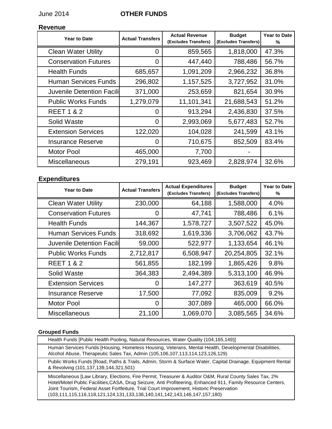### June 2014 **OTHER FUNDS**

### **Revenue**

| <b>Year to Date</b>              | <b>Actual Transfers</b> | <b>Actual Revenue</b><br>(Excludes Transfers) | <b>Budget</b><br>(Excludes Transfers) | <b>Year to Date</b><br>% |
|----------------------------------|-------------------------|-----------------------------------------------|---------------------------------------|--------------------------|
| <b>Clean Water Utility</b>       | 0                       | 859,565                                       | 1,818,000                             | 47.3%                    |
| <b>Conservation Futures</b>      | 0                       | 447,440                                       | 788,486                               | 56.7%                    |
| <b>Health Funds</b>              | 685,657                 | 1,091,209                                     | 2,966,232                             | 36.8%                    |
| <b>Human Services Funds</b>      | 296,802                 | 1,157,525                                     | 3,727,952                             | 31.0%                    |
| <b>Juvenile Detention Facili</b> | 371,000                 | 253,659                                       | 821,654                               | 30.9%                    |
| <b>Public Works Funds</b>        | 1,279,079               | 11,101,341                                    | 21,688,543                            | 51.2%                    |
| <b>REET 1 &amp; 2</b>            | 0                       | 913,294                                       | 2,436,830                             | 37.5%                    |
| Solid Waste                      | 0                       | 2,993,069                                     | 5,677,483                             | 52.7%                    |
| <b>Extension Services</b>        | 122,020                 | 104,028                                       | 241,599                               | 43.1%                    |
| <b>Insurance Reserve</b>         | 0                       | 710,675                                       | 852,509                               | 83.4%                    |
| <b>Motor Pool</b>                | 465,000                 | 7,700                                         |                                       |                          |
| <b>Miscellaneous</b>             | 279,191                 | 923,469                                       | 2,828,974                             | 32.6%                    |

### **Expenditures**

| <b>Year to Date</b>              | <b>Actual Transfers</b> | <b>Actual Expenditures</b><br>(Excludes Transfers) | <b>Budget</b><br>(Excludes Transfers) | <b>Year to Date</b><br>% |
|----------------------------------|-------------------------|----------------------------------------------------|---------------------------------------|--------------------------|
| <b>Clean Water Utility</b>       | 230,000                 | 64,188                                             | 1,588,000                             | 4.0%                     |
| <b>Conservation Futures</b>      | 0                       | 47,741                                             | 788,486                               | 6.1%                     |
| <b>Health Funds</b>              | 144,367                 | 1,578,727                                          | 3,507,522                             | 45.0%                    |
| <b>Human Services Funds</b>      | 318,692                 | 1,619,336                                          | 3,706,062                             | 43.7%                    |
| <b>Juvenile Detention Facili</b> | 59,000                  | 522,977                                            | 1,133,654                             | 46.1%                    |
| <b>Public Works Funds</b>        | 2,712,817               | 6,508,947                                          | 20,254,805                            | 32.1%                    |
| <b>REET 1 &amp; 2</b>            | 561,855                 | 182,199                                            | 1,865,426                             | 9.8%                     |
| Solid Waste                      | 364,383                 | 2,494,389                                          | 5,313,100                             | 46.9%                    |
| <b>Extension Services</b>        | 0                       | 147,277                                            | 363,619                               | 40.5%                    |
| <b>Insurance Reserve</b>         | 17,500                  | 77,092                                             | 835,009                               | 9.2%                     |
| <b>Motor Pool</b>                | 0                       | 307,089                                            | 465,000                               | 66.0%                    |
| <b>Miscellaneous</b>             | 21,100                  | 1,069,070                                          | 3,085,565                             | 34.6%                    |

#### **Grouped Funds**

Health Funds [Public Health Pooling, Natural Resources, Water Quality (104,165,149)] Human Services Funds [Housing, Homeless Housing, Veterans, Mental Health, Developmental Disabilities, Alcohol Abuse, Therapeutic Sales Tax, Admin (105,106,107,113,114,123,126,129)

Public Works Funds [Road, Paths & Trails, Admin, Storm & Surface Water, Capital Drainage, Equipment Rental & Revolving (101,137,139,144,321,501)

Miscellaneous [Law Library, Elections, Fire Permit, Treasurer & Auditor O&M, Rural County Sales Tax, 2% Hotel/Motel Public Facilities,CASA, Drug Seizure, Anti Profiteering, Enhanced 911, Family Resource Centers, Joint Tourism, Federal Asset Fortfeiture, Trial Court Improvement, Historic Preservation (103,111,115,116,118,121,124,131,133,136,140,141,142,143,146,147,157,180)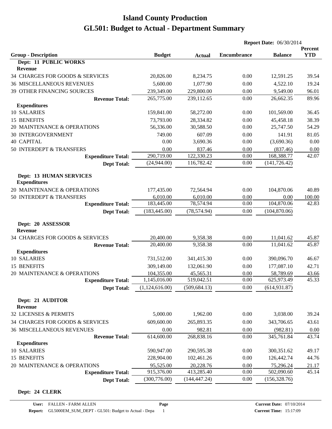|                                                       |                |               | <b>Report Date: 06/30/2014</b> |                |                       |
|-------------------------------------------------------|----------------|---------------|--------------------------------|----------------|-----------------------|
| <b>Group - Description</b>                            | <b>Budget</b>  | <b>Actual</b> | <b>Encumbrance</b>             | <b>Balance</b> | Percent<br><b>YTD</b> |
| Dept: 11 PUBLIC WORKS                                 |                |               |                                |                |                       |
| Revenue                                               |                |               |                                |                |                       |
| 34 CHARGES FOR GOODS & SERVICES                       | 20,826.00      | 8,234.75      | 0.00                           | 12,591.25      | 39.54                 |
| <b>36 MISCELLANEOUS REVENUES</b>                      | 5,600.00       | 1,077.90      | 0.00                           | 4,522.10       | 19.24                 |
| 39 OTHER FINANCING SOURCES                            | 239,349.00     | 229,800.00    | 0.00                           | 9,549.00       | 96.01                 |
| <b>Revenue Total:</b>                                 | 265,775.00     | 239,112.65    | 0.00                           | 26,662.35      | 89.96                 |
| <b>Expenditures</b>                                   |                |               |                                |                |                       |
| 10 SALARIES                                           | 159,841.00     | 58,272.00     | 0.00                           | 101,569.00     | 36.45                 |
| 15 BENEFITS                                           | 73,793.00      | 28,334.82     | 0.00                           | 45,458.18      | 38.39                 |
| 20 MAINTENANCE & OPERATIONS                           | 56,336.00      | 30,588.50     | 0.00                           | 25,747.50      | 54.29                 |
| <b>30 INTERGOVERNMENT</b>                             | 749.00         | 607.09        | 0.00                           | 141.91         | 81.05                 |
| <b>40 CAPITAL</b>                                     | 0.00           | 3,690.36      | 0.00                           | (3,690.36)     | 0.00                  |
| 50 INTERDEPT & TRANSFERS                              | 0.00           | 837.46        | 0.00                           | (837.46)       | 0.00                  |
| <b>Expenditure Total:</b>                             | 290,719.00     | 122,330.23    | 0.00                           | 168,388.77     | 42.07                 |
| <b>Dept Total:</b>                                    | (24,944.00)    | 116,782.42    | 0.00                           | (141, 726.42)  |                       |
| <b>Dept: 13 HUMAN SERVICES</b><br><b>Expenditures</b> |                |               |                                |                |                       |
| 20 MAINTENANCE & OPERATIONS                           | 177,435.00     | 72,564.94     | 0.00                           | 104,870.06     | 40.89                 |
| 50 INTERDEPT & TRANSFERS                              | 6,010.00       | 6,010.00      | 0.00                           | 0.00           | 100.00                |
| <b>Expenditure Total:</b>                             | 183,445.00     | 78,574.94     | 0.00                           | 104,870.06     | 42.83                 |
| <b>Dept Total:</b>                                    | (183, 445.00)  | (78, 574.94)  | 0.00                           | (104, 870.06)  |                       |
| Dept: 20 ASSESSOR<br><b>Revenue</b>                   |                |               |                                |                |                       |
| 34 CHARGES FOR GOODS & SERVICES                       | 20,400.00      | 9,358.38      | 0.00                           | 11,041.62      | 45.87                 |
| <b>Revenue Total:</b>                                 | 20,400.00      | 9,358.38      | 0.00                           | 11,041.62      | 45.87                 |
| <b>Expenditures</b>                                   |                |               |                                |                |                       |
| 10 SALARIES                                           | 731,512.00     | 341,415.30    | 0.00                           | 390,096.70     | 46.67                 |
| 15 BENEFITS                                           | 309,149.00     | 132,061.90    | 0.00                           | 177,087.10     | 42.71                 |
| 20 MAINTENANCE & OPERATIONS                           | 104,355.00     | 45,565.31     | 0.00                           | 58,789.69      | 43.66                 |
| <b>Expenditure Total:</b>                             | 1,145,016.00   | 519,042.51    | 0.00                           | 625,973.49     | 45.33                 |
| <b>Dept Total:</b>                                    | (1,124,616.00) | (509, 684.13) | 0.00                           | (614, 931.87)  |                       |
| Dept: 21 AUDITOR<br><b>Revenue</b>                    |                |               |                                |                |                       |
| 32 LICENSES & PERMITS                                 | 5,000.00       | 1,962.00      | 0.00                           | 3,038.00       | 39.24                 |
| 34 CHARGES FOR GOODS & SERVICES                       | 609,600.00     | 265,893.35    | 0.00                           | 343,706.65     | 43.61                 |
| <b>36 MISCELLANEOUS REVENUES</b>                      | 0.00           | 982.81        | 0.00                           | (982.81)       | 0.00                  |
| <b>Revenue Total:</b>                                 | 614,600.00     | 268,838.16    | 0.00                           | 345,761.84     | 43.74                 |
| <b>Expenditures</b>                                   |                |               |                                |                |                       |
| 10 SALARIES                                           | 590,947.00     | 290,595.38    | 0.00                           | 300,351.62     | 49.17                 |
| 15 BENEFITS                                           | 228,904.00     | 102,461.26    | 0.00                           | 126,442.74     | 44.76                 |
| 20 MAINTENANCE & OPERATIONS                           | 95,525.00      | 20,228.76     | 0.00                           | 75,296.24      | 21.17                 |
| <b>Expenditure Total:</b>                             | 915,376.00     | 413,285.40    | 0.00                           | 502,090.60     | 45.14                 |
| <b>Dept Total:</b>                                    | (300, 776.00)  | (144, 447.24) | 0.00                           | (156, 328.76)  |                       |

#### **Dept: 24 CLERK**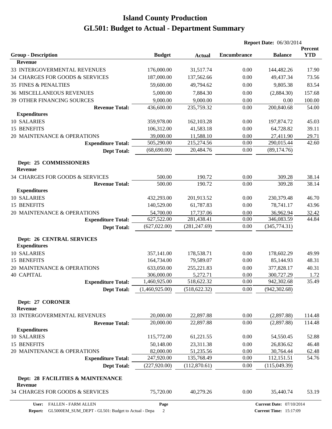|                                                         |                |               | <b>Report Date: 06/30/2014</b> |                                 |                              |
|---------------------------------------------------------|----------------|---------------|--------------------------------|---------------------------------|------------------------------|
| <b>Group - Description</b>                              | <b>Budget</b>  | <b>Actual</b> | <b>Encumbrance</b>             | <b>Balance</b>                  | <b>Percent</b><br><b>YTD</b> |
| <b>Revenue</b>                                          |                |               |                                |                                 |                              |
| 33 INTERGOVERMENTAL REVENUES                            | 176,000.00     | 31,517.74     | 0.00                           | 144,482.26                      | 17.90                        |
| 34 CHARGES FOR GOODS & SERVICES                         | 187,000.00     | 137,562.66    | 0.00                           | 49,437.34                       | 73.56                        |
| <b>35 FINES &amp; PENALTIES</b>                         | 59,600.00      | 49,794.62     | 0.00                           | 9,805.38                        | 83.54                        |
| <b>36 MISCELLANEOUS REVENUES</b>                        | 5,000.00       | 7,884.30      | 0.00                           | (2,884.30)                      | 157.68                       |
| 39 OTHER FINANCING SOURCES                              | 9,000.00       | 9,000.00      | 0.00                           | 0.00                            | 100.00                       |
| <b>Revenue Total:</b>                                   | 436,600.00     | 235,759.32    | 0.00                           | 200,840.68                      | 54.00                        |
| <b>Expenditures</b>                                     |                |               |                                |                                 |                              |
| 10 SALARIES                                             | 359,978.00     | 162, 103.28   | 0.00                           | 197,874.72                      | 45.03                        |
| 15 BENEFITS                                             | 106,312.00     | 41,583.18     | 0.00                           | 64,728.82                       | 39.11                        |
| 20 MAINTENANCE & OPERATIONS                             | 39,000.00      | 11,588.10     | 0.00                           | 27,411.90                       | 29.71                        |
| <b>Expenditure Total:</b>                               | 505,290.00     | 215,274.56    | 0.00                           | 290,015.44                      | 42.60                        |
| <b>Dept Total:</b>                                      | (68,690.00)    | 20,484.76     | 0.00                           | (89, 174.76)                    |                              |
| Dept: 25 COMMISSIONERS<br><b>Revenue</b>                |                |               |                                |                                 |                              |
| 34 CHARGES FOR GOODS & SERVICES                         | 500.00         | 190.72        | 0.00                           | 309.28                          | 38.14                        |
| <b>Revenue Total:</b>                                   | 500.00         | 190.72        | 0.00                           | 309.28                          | 38.14                        |
| <b>Expenditures</b>                                     |                |               |                                |                                 |                              |
| 10 SALARIES                                             | 432,293.00     | 201,913.52    | 0.00                           | 230,379.48                      | 46.70                        |
| 15 BENEFITS                                             | 140,529.00     | 61,787.83     | 0.00                           | 78,741.17                       | 43.96                        |
| 20 MAINTENANCE & OPERATIONS                             | 54,700.00      | 17,737.06     | 0.00                           | 36,962.94                       | 32.42                        |
| <b>Expenditure Total:</b>                               | 627,522.00     | 281,438.41    | 0.00                           | 346,083.59                      | 44.84                        |
| <b>Dept Total:</b>                                      | (627, 022.00)  | (281, 247.69) | 0.00                           | (345,774.31)                    |                              |
| <b>Dept: 26 CENTRAL SERVICES</b><br><b>Expenditures</b> |                |               |                                |                                 |                              |
| 10 SALARIES                                             | 357,141.00     | 178,538.71    | 0.00                           | 178,602.29                      | 49.99                        |
| 15 BENEFITS                                             | 164,734.00     | 79,589.07     | 0.00                           | 85,144.93                       | 48.31                        |
| 20 MAINTENANCE & OPERATIONS                             | 633,050.00     | 255,221.83    | 0.00                           | 377,828.17                      | 40.31                        |
| <b>40 CAPITAL</b>                                       | 306,000.00     | 5,272.71      | 0.00                           | 300,727.29                      | 1.72                         |
| <b>Expenditure Total:</b>                               | 1,460,925.00   | 518,622.32    | 0.00                           | 942,302.68                      | 35.49                        |
| <b>Dept Total:</b>                                      | (1,460,925.00) | (518, 622.32) | 0.00                           | (942, 302.68)                   |                              |
| Dept: 27 CORONER<br><b>Revenue</b>                      |                |               |                                |                                 |                              |
| 33 INTERGOVERMENTAL REVENUES                            | 20,000.00      | 22,897.88     | 0.00                           | (2,897.88)                      | 114.48                       |
| <b>Revenue Total:</b>                                   | 20,000.00      | 22,897.88     | 0.00                           | (2,897.88)                      | 114.48                       |
| <b>Expenditures</b>                                     |                |               |                                |                                 |                              |
| 10 SALARIES                                             | 115,772.00     | 61,221.55     | 0.00                           | 54,550.45                       | 52.88                        |
| 15 BENEFITS                                             | 50,148.00      | 23,311.38     | 0.00                           | 26,836.62                       | 46.48                        |
| 20 MAINTENANCE & OPERATIONS                             | 82,000.00      | 51,235.56     | 0.00                           | 30,764.44                       | 62.48                        |
| <b>Expenditure Total:</b>                               | 247,920.00     | 135,768.49    | 0.00                           | 112,151.51                      | 54.76                        |
| <b>Dept Total:</b>                                      | (227, 920.00)  | (112,870.61)  | 0.00                           | (115,049.39)                    |                              |
| Dept: 28 FACILITIES & MAINTENANCE<br>Revenue            |                |               |                                |                                 |                              |
| 34 CHARGES FOR GOODS & SERVICES                         | 75,720.00      | 40,279.26     | 0.00                           | 35,440.74                       | 53.19                        |
| <b>FALLEN - FARM ALLEN</b><br>User:                     | Page           |               |                                | <b>Current Date: 07/10/2014</b> |                              |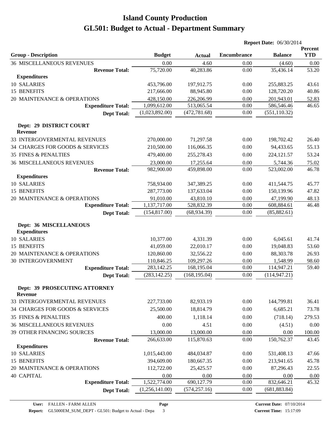|                                                 |                |               | <b>Report Date: 06/30/2014</b> |                |                       |
|-------------------------------------------------|----------------|---------------|--------------------------------|----------------|-----------------------|
| <b>Group - Description</b>                      | <b>Budget</b>  | <b>Actual</b> | <b>Encumbrance</b>             | <b>Balance</b> | Percent<br><b>YTD</b> |
| <b>36 MISCELLANEOUS REVENUES</b>                | 0.00           | 4.60          | 0.00                           | (4.60)         | 0.00                  |
| <b>Revenue Total:</b>                           | 75,720.00      | 40,283.86     | 0.00                           | 35,436.14      | 53.20                 |
| <b>Expenditures</b>                             |                |               |                                |                |                       |
| 10 SALARIES                                     | 453,796.00     | 197,912.75    | 0.00                           | 255,883.25     | 43.61                 |
| 15 BENEFITS                                     | 217,666.00     | 88,945.80     | 0.00                           | 128,720.20     | 40.86                 |
| 20 MAINTENANCE & OPERATIONS                     | 428,150.00     | 226,206.99    | 0.00                           | 201,943.01     | 52.83                 |
| <b>Expenditure Total:</b>                       | 1,099,612.00   | 513,065.54    | 0.00                           | 586,546.46     | 46.65                 |
| <b>Dept Total:</b>                              | (1,023,892.00) | (472, 781.68) | 0.00                           | (551, 110.32)  |                       |
| Dept: 29 DISTRICT COURT<br><b>Revenue</b>       |                |               |                                |                |                       |
| 33 INTERGOVERMENTAL REVENUES                    | 270,000.00     | 71,297.58     | 0.00                           | 198,702.42     | 26.40                 |
| 34 CHARGES FOR GOODS & SERVICES                 | 210,500.00     | 116,066.35    | 0.00                           | 94,433.65      | 55.13                 |
| <b>35 FINES &amp; PENALTIES</b>                 | 479,400.00     | 255,278.43    | 0.00                           | 224,121.57     | 53.24                 |
| <b>36 MISCELLANEOUS REVENUES</b>                | 23,000.00      | 17,255.64     | 0.00                           | 5,744.36       | 75.02                 |
| <b>Revenue Total:</b>                           | 982,900.00     | 459,898.00    | 0.00                           | 523,002.00     | 46.78                 |
| <b>Expenditures</b>                             |                |               |                                |                |                       |
| 10 SALARIES                                     | 758,934.00     | 347,389.25    | 0.00                           | 411,544.75     | 45.77                 |
| 15 BENEFITS                                     | 287,773.00     | 137,633.04    | 0.00                           | 150,139.96     | 47.82                 |
| 20 MAINTENANCE & OPERATIONS                     | 91,010.00      | 43,810.10     | 0.00                           | 47,199.90      | 48.13                 |
| <b>Expenditure Total:</b>                       | 1,137,717.00   | 528,832.39    | 0.00                           | 608,884.61     | 46.48                 |
| <b>Dept Total:</b>                              | (154, 817.00)  | (68, 934.39)  | 0.00                           | (85, 882.61)   |                       |
| Dept: 36 MISCELLANEOUS<br><b>Expenditures</b>   |                |               |                                |                |                       |
| 10 SALARIES                                     | 10,377.00      | 4,331.39      | 0.00                           | 6,045.61       | 41.74                 |
| 15 BENEFITS                                     | 41,059.00      | 22,010.17     | 0.00                           | 19,048.83      | 53.60                 |
| 20 MAINTENANCE & OPERATIONS                     | 120,860.00     | 32,556.22     | 0.00                           | 88,303.78      | 26.93                 |
| <b>30 INTERGOVERNMENT</b>                       | 110,846.25     | 109,297.26    | 0.00                           | 1,548.99       | 98.60                 |
| <b>Expenditure Total:</b>                       | 283,142.25     | 168,195.04    | 0.00                           | 114,947.21     | 59.40                 |
| <b>Dept Total:</b>                              | (283, 142.25)  | (168, 195.04) | 0.00                           | (114, 947.21)  |                       |
| Dept: 39 PROSECUTING ATTORNEY<br><b>Revenue</b> |                |               |                                |                |                       |
| 33 INTERGOVERMENTAL REVENUES                    | 227,733.00     | 82,933.19     | 0.00                           | 144,799.81     | 36.41                 |
| 34 CHARGES FOR GOODS & SERVICES                 | 25,500.00      | 18,814.79     | 0.00                           | 6,685.21       | 73.78                 |
| <b>35 FINES &amp; PENALTIES</b>                 | 400.00         | 1,118.14      | 0.00                           | (718.14)       | 279.53                |
| <b>36 MISCELLANEOUS REVENUES</b>                | 0.00           | 4.51          | 0.00                           | (4.51)         | 0.00                  |
| 39 OTHER FINANCING SOURCES                      | 13,000.00      | 13,000.00     | 0.00                           | 0.00           | 100.00                |
| <b>Revenue Total:</b>                           | 266,633.00     | 115,870.63    | 0.00                           | 150,762.37     | 43.45                 |
| <b>Expenditures</b>                             |                |               |                                |                |                       |
| 10 SALARIES                                     | 1,015,443.00   | 484,034.87    | 0.00                           | 531,408.13     | 47.66                 |
| 15 BENEFITS                                     | 394,609.00     | 180,667.35    | 0.00                           | 213,941.65     | 45.78                 |
| 20 MAINTENANCE & OPERATIONS                     | 112,722.00     | 25,425.57     | 0.00                           | 87,296.43      | 22.55                 |
| <b>40 CAPITAL</b>                               | 0.00           | 0.00          | 0.00                           | 0.00           | 0.00                  |
| <b>Expenditure Total:</b>                       | 1,522,774.00   | 690,127.79    | 0.00                           | 832,646.21     | 45.32                 |
| <b>Dept Total:</b>                              | (1,256,141.00) | (574, 257.16) | 0.00                           | (681, 883.84)  |                       |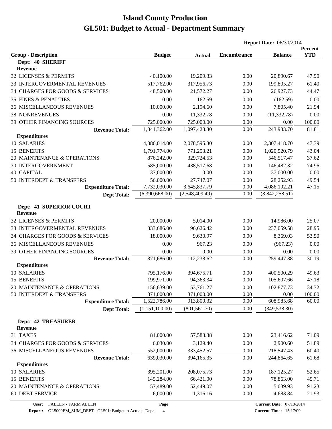|                                              |                |                        | <b>Report Date: 06/30/2014</b> |                                |                       |
|----------------------------------------------|----------------|------------------------|--------------------------------|--------------------------------|-----------------------|
| <b>Group - Description</b>                   | <b>Budget</b>  | <b>Actual</b>          | Encumbrance                    | <b>Balance</b>                 | Percent<br><b>YTD</b> |
| Dept: 40 SHERIFF                             |                |                        |                                |                                |                       |
| <b>Revenue</b>                               |                |                        |                                |                                |                       |
| 32 LICENSES & PERMITS                        | 40,100.00      | 19,209.33              | 0.00                           | 20,890.67                      | 47.90                 |
| 33 INTERGOVERMENTAL REVENUES                 | 517,762.00     | 317,956.73             | 0.00                           | 199,805.27                     | 61.40                 |
| 34 CHARGES FOR GOODS & SERVICES              | 48,500.00      | 21,572.27              | 0.00                           | 26,927.73                      | 44.47                 |
| <b>35 FINES &amp; PENALTIES</b>              | 0.00           | 162.59                 | 0.00                           | (162.59)                       | 0.00                  |
| <b>36 MISCELLANEOUS REVENUES</b>             | 10,000.00      | 2,194.60               | 0.00                           | 7,805.40                       | 21.94                 |
| <b>38 NONREVENUES</b>                        | 0.00           | 11,332.78              | 0.00                           | (11, 332.78)                   | 0.00                  |
| 39 OTHER FINANCING SOURCES                   | 725,000.00     | 725,000.00             | 0.00                           | 0.00                           | 100.00                |
| <b>Revenue Total:</b>                        | 1,341,362.00   | 1,097,428.30           | 0.00                           | 243,933.70                     | 81.81                 |
| <b>Expenditures</b>                          |                |                        |                                |                                |                       |
| 10 SALARIES                                  | 4,386,014.00   | 2,078,595.30           | 0.00                           | 2,307,418.70                   | 47.39                 |
| 15 BENEFITS                                  | 1,791,774.00   | 771,253.21             | 0.00                           | 1,020,520.79                   | 43.04                 |
| 20 MAINTENANCE & OPERATIONS                  | 876,242.00     | 329,724.53             | 0.00                           | 546,517.47                     | 37.62                 |
| <b>30 INTERGOVERNMENT</b>                    | 585,000.00     | 438,517.68             | 0.00                           | 146,482.32                     | 74.96                 |
| <b>40 CAPITAL</b>                            | 37,000.00      | 0.00                   | 0.00                           | 37,000.00                      | 0.00                  |
| 50 INTERDEPT & TRANSFERS                     | 56,000.00      | 27,747.07              | 0.00                           | 28,252.93                      | 49.54                 |
| <b>Expenditure Total:</b>                    | 7,732,030.00   | 3,645,837.79           | 0.00                           | 4,086,192.21<br>(3,842,258.51) | 47.15                 |
| <b>Dept Total:</b>                           | (6,390,668.00) | (2,548,409.49)         | 0.00                           |                                |                       |
| Dept: 41 SUPERIOR COURT<br><b>Revenue</b>    |                |                        |                                |                                |                       |
| 32 LICENSES & PERMITS                        | 20,000.00      | 5,014.00               | 0.00                           | 14,986.00                      | 25.07                 |
| 33 INTERGOVERMENTAL REVENUES                 | 333,686.00     | 96,626.42              | 0.00                           | 237,059.58                     | 28.95                 |
| 34 CHARGES FOR GOODS & SERVICES              | 18,000.00      | 9,630.97               |                                | 8,369.03                       | 53.50                 |
|                                              |                |                        | 0.00                           |                                |                       |
| <b>36 MISCELLANEOUS REVENUES</b>             | 0.00           | 967.23                 | 0.00                           | (967.23)                       | 0.00                  |
| 39 OTHER FINANCING SOURCES                   | 0.00           | 0.00                   | 0.00                           | 0.00                           | 0.00                  |
| <b>Revenue Total:</b><br><b>Expenditures</b> | 371,686.00     | 112,238.62             | 0.00                           | 259,447.38                     | 30.19                 |
| 10 SALARIES                                  | 795,176.00     | 394,675.71             | 0.00                           | 400,500.29                     | 49.63                 |
| 15 BENEFITS                                  | 199,971.00     | 94,363.34              | 0.00                           | 105,607.66                     | 47.18                 |
| 20 MAINTENANCE & OPERATIONS                  | 156,639.00     | 53,761.27              | 0.00                           | 102,877.73                     | 34.32                 |
| 50 INTERDEPT & TRANSFERS                     | 371,000.00     | 371,000.00             | 0.00                           | 0.00                           | 100.00                |
| <b>Expenditure Total:</b>                    | 1,522,786.00   | 913,800.32             | 0.00                           | 608,985.68                     | 60.00                 |
| <b>Dept Total:</b>                           | (1,151,100.00) | (801, 561.70)          | 0.00                           | (349, 538.30)                  |                       |
| <b>Dept: 42 TREASURER</b><br><b>Revenue</b>  |                |                        |                                |                                |                       |
| 31 TAXES                                     | 81,000.00      | 57,583.38              | 0.00                           | 23,416.62                      | 71.09                 |
| 34 CHARGES FOR GOODS & SERVICES              | 6,030.00       |                        | 0.00                           | 2,900.60                       | 51.89                 |
| <b>36 MISCELLANEOUS REVENUES</b>             | 552,000.00     | 3,129.40<br>333,452.57 | 0.00                           | 218,547.43                     | 60.40                 |
| <b>Revenue Total:</b>                        | 639,030.00     | 394,165.35             | 0.00                           | 244,864.65                     | 61.68                 |
| <b>Expenditures</b>                          |                |                        |                                |                                |                       |
| 10 SALARIES                                  | 395,201.00     | 208,075.73             | 0.00                           | 187, 125. 27                   | 52.65                 |
| 15 BENEFITS                                  | 145,284.00     | 66,421.00              | 0.00                           | 78,863.00                      | 45.71                 |
| 20 MAINTENANCE & OPERATIONS                  | 57,489.00      | 52,449.07              | 0.00                           | 5,039.93                       | 91.23                 |
| <b>60 DEBT SERVICE</b>                       | 6,000.00       | 1,316.16               | 0.00                           | 4,683.84                       | 21.93                 |

**Page**

**Report:** GL5000EM\_SUM\_DEPT - GL501: Budget to Actual - Depa 4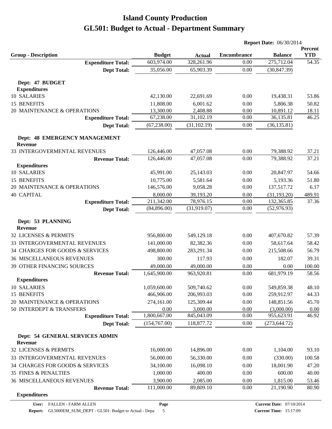|                                            |               |               |                    | <b>Report Date: 06/30/2014</b>  |                       |
|--------------------------------------------|---------------|---------------|--------------------|---------------------------------|-----------------------|
| <b>Group - Description</b>                 | <b>Budget</b> | <b>Actual</b> | <b>Encumbrance</b> | <b>Balance</b>                  | Percent<br><b>YTD</b> |
| <b>Expenditure Total:</b>                  | 603,974.00    | 328,261.96    | 0.00               | 275,712.04                      | 54.35                 |
| <b>Dept Total:</b>                         | 35,056.00     | 65,903.39     | 0.00               | (30, 847.39)                    |                       |
| Dept: 47 BUDGET                            |               |               |                    |                                 |                       |
| <b>Expenditures</b>                        |               |               |                    |                                 |                       |
| 10 SALARIES                                | 42,130.00     | 22,691.69     | 0.00               | 19,438.31                       | 53.86                 |
| 15 BENEFITS                                | 11,808.00     | 6,001.62      | 0.00               | 5,806.38                        | 50.82                 |
| 20 MAINTENANCE & OPERATIONS                | 13,300.00     | 2,408.88      | 0.00               | 10,891.12                       | 18.11                 |
| <b>Expenditure Total:</b>                  | 67,238.00     | 31,102.19     | 0.00               | 36,135.81                       | 46.25                 |
| <b>Dept Total:</b>                         | (67, 238.00)  | (31, 102.19)  | 0.00               | (36, 135.81)                    |                       |
| Dept: 48 EMERGENCY MANAGEMENT<br>Revenue   |               |               |                    |                                 |                       |
| 33 INTERGOVERMENTAL REVENUES               | 126,446.00    | 47,057.08     | 0.00               | 79,388.92                       | 37.21                 |
| <b>Revenue Total:</b>                      | 126,446.00    | 47,057.08     | 0.00               | 79,388.92                       | 37.21                 |
| <b>Expenditures</b>                        |               |               |                    |                                 |                       |
| 10 SALARIES                                | 45,991.00     | 25,143.03     | 0.00               | 20,847.97                       | 54.66                 |
| 15 BENEFITS                                | 10,775.00     | 5,581.64      | 0.00               | 5,193.36                        | 51.80                 |
| 20 MAINTENANCE & OPERATIONS                | 146,576.00    | 9,058.28      | 0.00               | 137,517.72                      | 6.17                  |
| <b>40 CAPITAL</b>                          | 8,000.00      | 39,193.20     | 0.00               | (31, 193.20)                    | 489.91                |
| <b>Expenditure Total:</b>                  | 211,342.00    | 78,976.15     | 0.00               | 132,365.85                      | 37.36                 |
| <b>Dept Total:</b>                         | (84,896.00)   | (31,919.07)   | 0.00               | (52, 976.93)                    |                       |
| Dept: 53 PLANNING<br><b>Revenue</b>        |               |               |                    |                                 |                       |
| 32 LICENSES & PERMITS                      | 956,800.00    | 549,129.18    | 0.00               | 407,670.82                      | 57.39                 |
| 33 INTERGOVERMENTAL REVENUES               | 141,000.00    | 82,382.36     | 0.00               | 58,617.64                       | 58.42                 |
| 34 CHARGES FOR GOODS & SERVICES            | 498,800.00    | 283,291.34    | 0.00               | 215,508.66                      | 56.79                 |
| <b>36 MISCELLANEOUS REVENUES</b>           | 300.00        | 117.93        | 0.00               | 182.07                          | 39.31                 |
| <b>39 OTHER FINANCING SOURCES</b>          | 49,000.00     | 49,000.00     | 0.00               | 0.00                            | 100.00                |
| <b>Revenue Total:</b>                      | 1,645,900.00  | 963,920.81    | 0.00               | 681,979.19                      | 58.56                 |
| <b>Expenditures</b>                        |               |               |                    |                                 |                       |
| <b>10 SALARIES</b>                         | 1,059,600.00  | 509,740.62    | 0.00               | 549,859.38                      | 48.10                 |
| 15 BENEFITS                                | 466,906.00    | 206,993.03    | 0.00               | 259,912.97                      | 44.33                 |
| 20 MAINTENANCE & OPERATIONS                | 274,161.00    | 125,309.44    | 0.00               | 148,851.56                      | 45.70                 |
| 50 INTERDEPT & TRANSFERS                   | 0.00          | 3,000.00      | 0.00               | (3,000.00)                      | 0.00                  |
| <b>Expenditure Total:</b>                  | 1,800,667.00  | 845,043.09    | 0.00               | 955,623.91                      | 46.92                 |
| <b>Dept Total:</b>                         | (154,767.00)  | 118,877.72    | 0.00               | (273, 644.72)                   |                       |
| Dept: 54 GENERAL SERVICES ADMIN<br>Revenue |               |               |                    |                                 |                       |
| 32 LICENSES & PERMITS                      | 16,000.00     | 14,896.00     | 0.00               | 1,104.00                        | 93.10                 |
| 33 INTERGOVERMENTAL REVENUES               | 56,000.00     | 56,330.00     | 0.00               | (330.00)                        | 100.58                |
| 34 CHARGES FOR GOODS & SERVICES            | 34,100.00     | 16,098.10     | 0.00               | 18,001.90                       | 47.20                 |
| <b>35 FINES &amp; PENALTIES</b>            | 1,000.00      | 400.00        | 0.00               | 600.00                          | 40.00                 |
| <b>36 MISCELLANEOUS REVENUES</b>           | 3,900.00      | 2,085.00      | 0.00               | 1,815.00                        | 53.46                 |
| <b>Revenue Total:</b>                      | 111,000.00    | 89,809.10     | 0.00               | 21,190.90                       | 80.90                 |
| <b>Expenditures</b>                        |               |               |                    |                                 |                       |
| User: FALLEN - FARM ALLEN                  | Page          |               |                    | <b>Current Date: 07/10/2014</b> |                       |